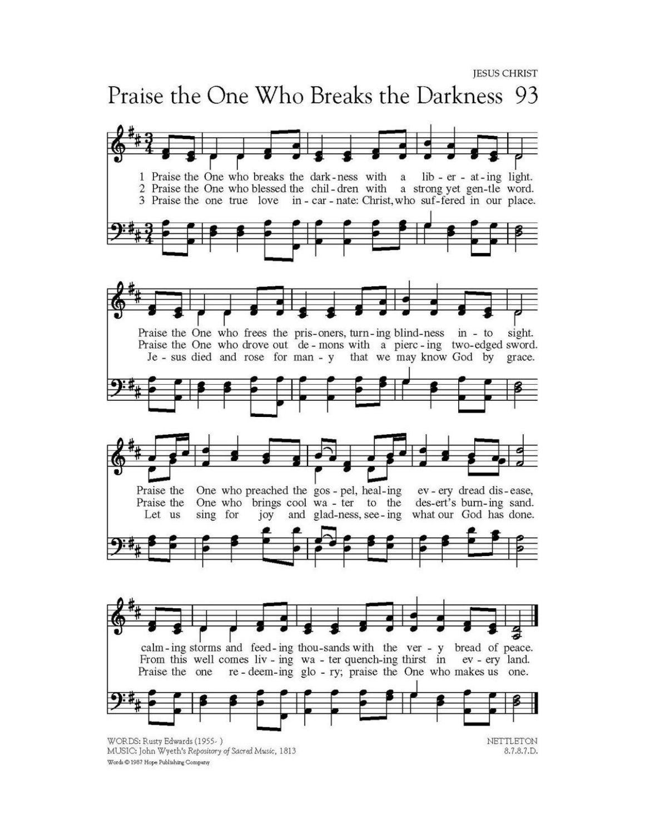## Praise the One Who Breaks the Darkness 93

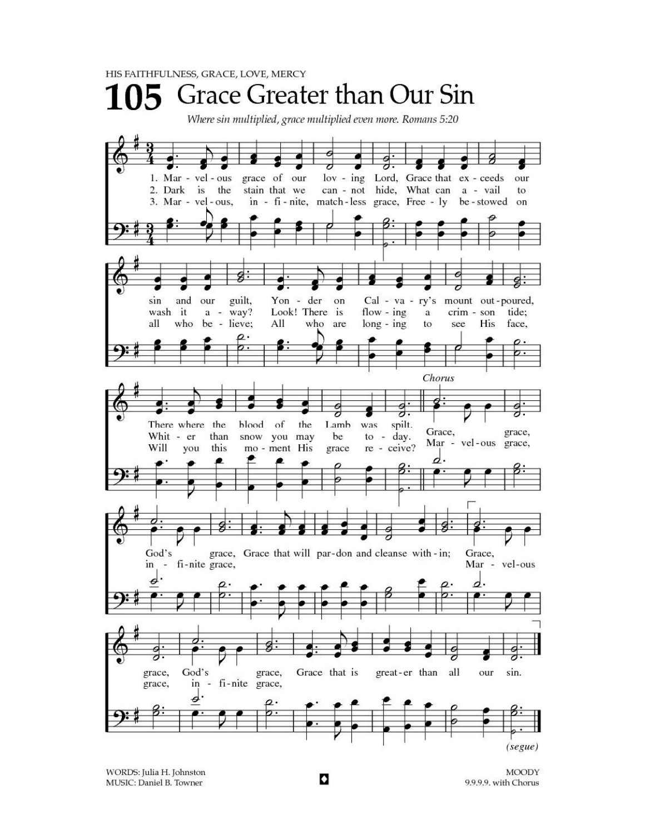

WORDS: Julia H. Johnston MUSIC: Daniel B. Towner

**MOODY** 9.9.9.9. with Chorus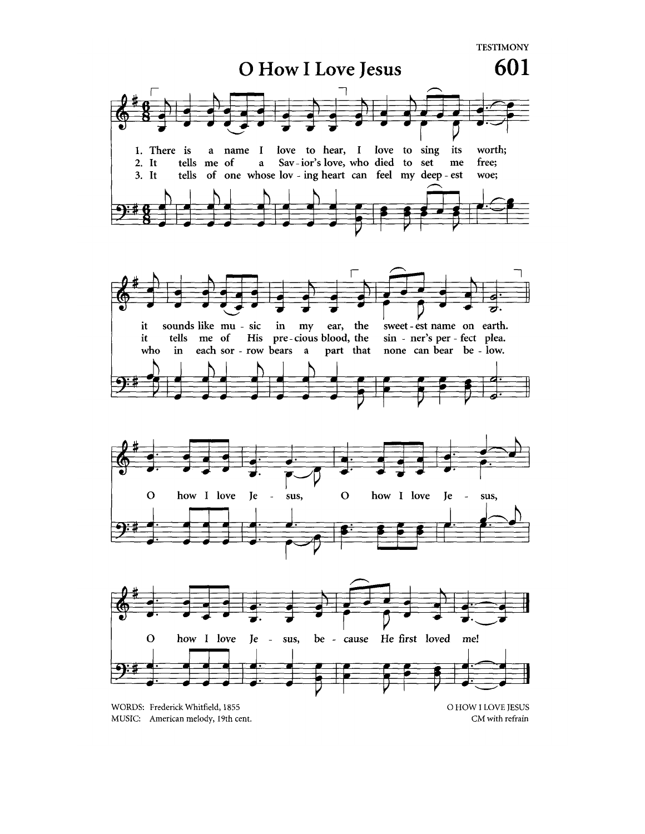**TESTIMONY**